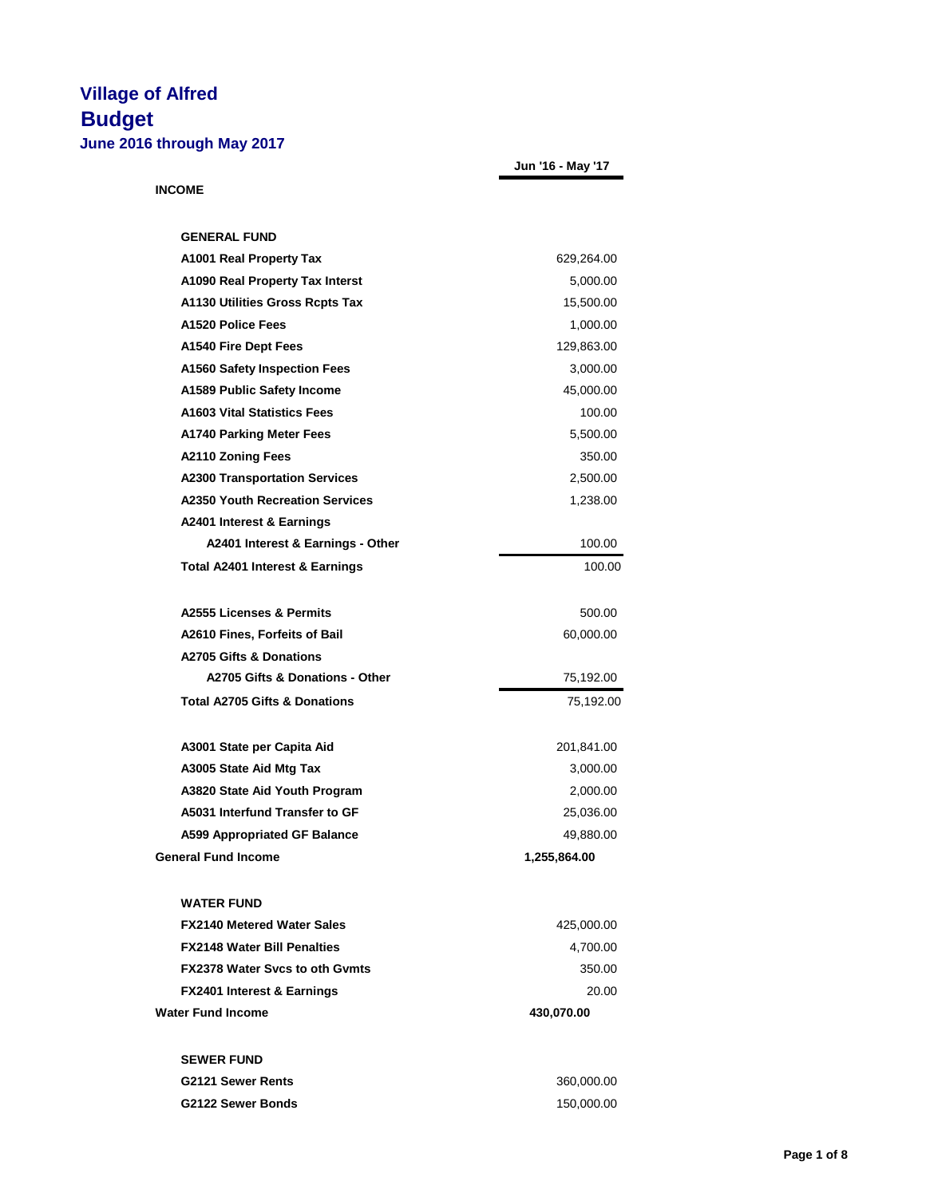| 2016 through May 2017                      |                   |
|--------------------------------------------|-------------------|
|                                            | Jun '16 - May '17 |
| <b>INCOME</b>                              |                   |
| <b>GENERAL FUND</b>                        |                   |
|                                            |                   |
| A1001 Real Property Tax                    | 629,264.00        |
| A1090 Real Property Tax Interst            | 5,000.00          |
| <b>A1130 Utilities Gross Rcpts Tax</b>     | 15,500.00         |
| A1520 Police Fees                          | 1,000.00          |
| A1540 Fire Dept Fees                       | 129,863.00        |
| <b>A1560 Safety Inspection Fees</b>        | 3,000.00          |
| A1589 Public Safety Income                 | 45,000.00         |
| <b>A1603 Vital Statistics Fees</b>         | 100.00            |
| <b>A1740 Parking Meter Fees</b>            | 5,500.00          |
| <b>A2110 Zoning Fees</b>                   | 350.00            |
| <b>A2300 Transportation Services</b>       | 2,500.00          |
| <b>A2350 Youth Recreation Services</b>     | 1,238.00          |
| A2401 Interest & Earnings                  |                   |
| A2401 Interest & Earnings - Other          | 100.00            |
| <b>Total A2401 Interest &amp; Earnings</b> | 100.00            |
| A2555 Licenses & Permits                   | 500.00            |
| A2610 Fines, Forfeits of Bail              | 60,000.00         |
| <b>A2705 Gifts &amp; Donations</b>         |                   |
| A2705 Gifts & Donations - Other            | 75,192.00         |
| <b>Total A2705 Gifts &amp; Donations</b>   | 75,192.00         |
| A3001 State per Capita Aid                 | 201,841.00        |
| A3005 State Aid Mtg Tax                    | 3,000.00          |
| A3820 State Aid Youth Program              | 2,000.00          |
| A5031 Interfund Transfer to GF             | 25,036.00         |

**General Fund Income 1,255,864.00 WATER FUND FX2140 Metered Water Sales** 425,000.00 **FX2148 Water Bill Penalties** 4,700.00 **FX2378 Water Svcs to oth Gvmts** 350.00 **FX2401 Interest & Earnings** 20.00 **Water Fund Income 430,070.00**

A599 Appropriated GF Balance **49,880.00** 

| <b>SEWER FUND</b>        |            |
|--------------------------|------------|
| <b>G2121 Sewer Rents</b> | 360.000.00 |
| <b>G2122 Sewer Bonds</b> | 150,000.00 |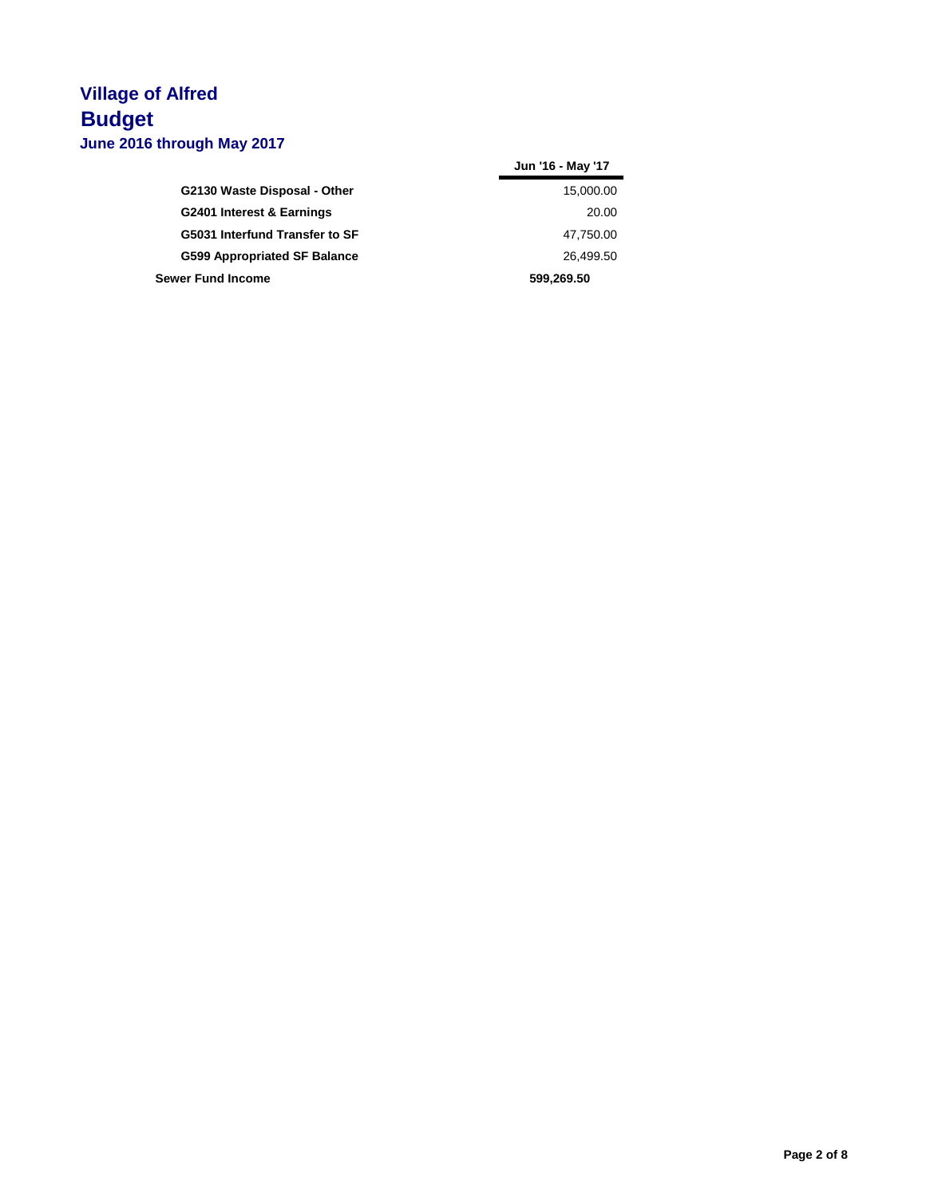|                                | Jun '16 - May '17 |
|--------------------------------|-------------------|
| G2130 Waste Disposal - Other   | 15,000.00         |
| G2401 Interest & Earnings      | 20.00             |
| G5031 Interfund Transfer to SF | 47,750.00         |
| G599 Appropriated SF Balance   | 26,499.50         |
| <b>Sewer Fund Income</b>       | 599,269.50        |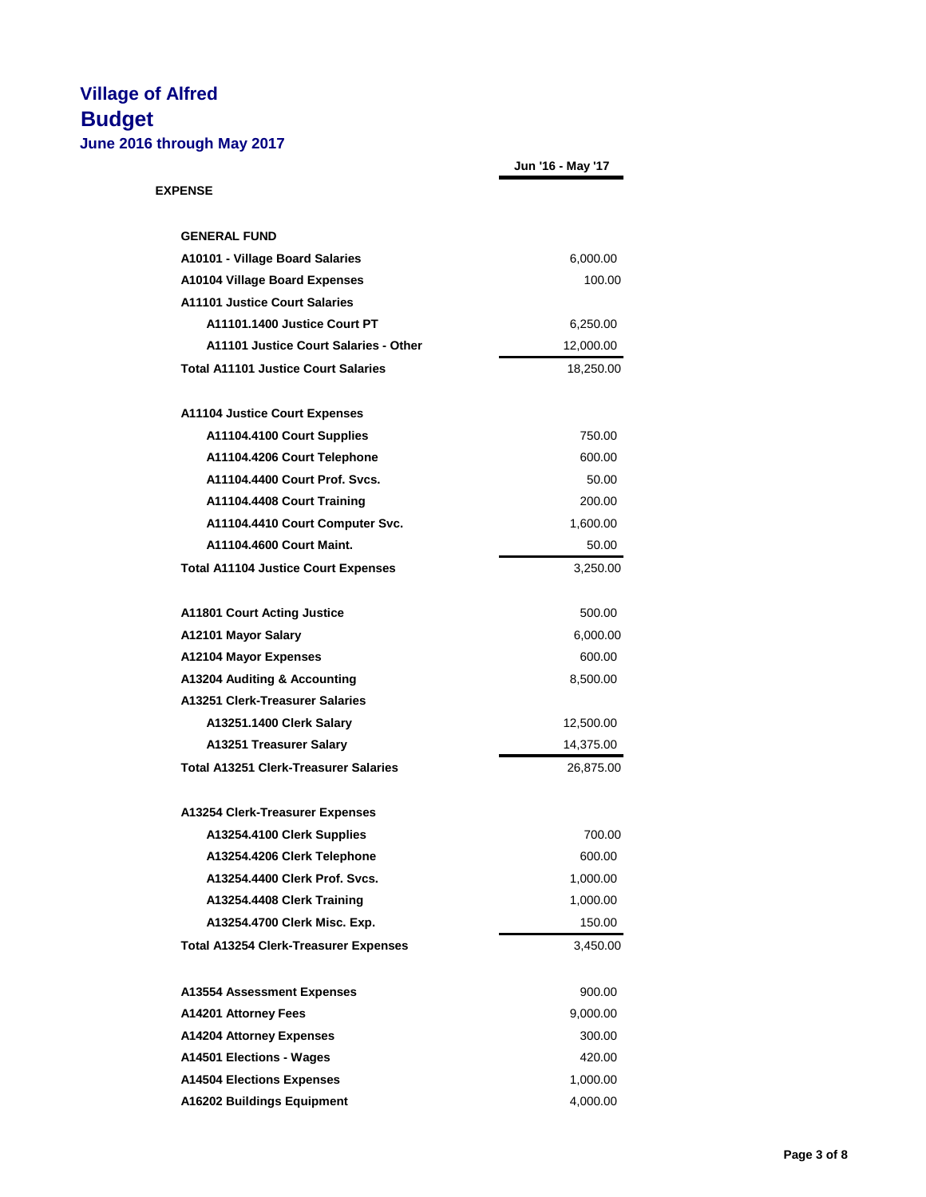|                                              | Jun '16 - May '17 |
|----------------------------------------------|-------------------|
| <b>EXPENSE</b>                               |                   |
| <b>GENERAL FUND</b>                          |                   |
| A10101 - Village Board Salaries              | 6,000.00          |
| <b>A10104 Village Board Expenses</b>         | 100.00            |
| <b>A11101 Justice Court Salaries</b>         |                   |
| A11101.1400 Justice Court PT                 | 6,250.00          |
| A11101 Justice Court Salaries - Other        | 12,000.00         |
| <b>Total A11101 Justice Court Salaries</b>   | 18,250.00         |
| <b>A11104 Justice Court Expenses</b>         |                   |
| A11104.4100 Court Supplies                   | 750.00            |
| A11104.4206 Court Telephone                  | 600.00            |
| A11104.4400 Court Prof. Svcs.                | 50.00             |
| A11104.4408 Court Training                   | 200.00            |
| A11104.4410 Court Computer Svc.              | 1,600.00          |
| A11104.4600 Court Maint.                     | 50.00             |
| <b>Total A11104 Justice Court Expenses</b>   | 3,250.00          |
| <b>A11801 Court Acting Justice</b>           | 500.00            |
| A12101 Mayor Salary                          | 6,000.00          |
| A12104 Mayor Expenses                        | 600.00            |
| A13204 Auditing & Accounting                 | 8,500.00          |
| A13251 Clerk-Treasurer Salaries              |                   |
| A13251.1400 Clerk Salary                     | 12,500.00         |
| A13251 Treasurer Salary                      | 14,375.00         |
| <b>Total A13251 Clerk-Treasurer Salaries</b> | 26,875.00         |
| A13254 Clerk-Treasurer Expenses              |                   |
| A13254.4100 Clerk Supplies                   | 700.00            |
| A13254.4206 Clerk Telephone                  | 600.00            |
| A13254.4400 Clerk Prof. Svcs.                | 1,000.00          |
| A13254.4408 Clerk Training                   | 1,000.00          |
| A13254.4700 Clerk Misc. Exp.                 | 150.00            |
| <b>Total A13254 Clerk-Treasurer Expenses</b> | 3,450.00          |
| <b>A13554 Assessment Expenses</b>            | 900.00            |
| A14201 Attorney Fees                         | 9,000.00          |
| A14204 Attorney Expenses                     | 300.00            |
| A14501 Elections - Wages                     | 420.00            |
| <b>A14504 Elections Expenses</b>             | 1,000.00          |
| A16202 Buildings Equipment                   | 4,000.00          |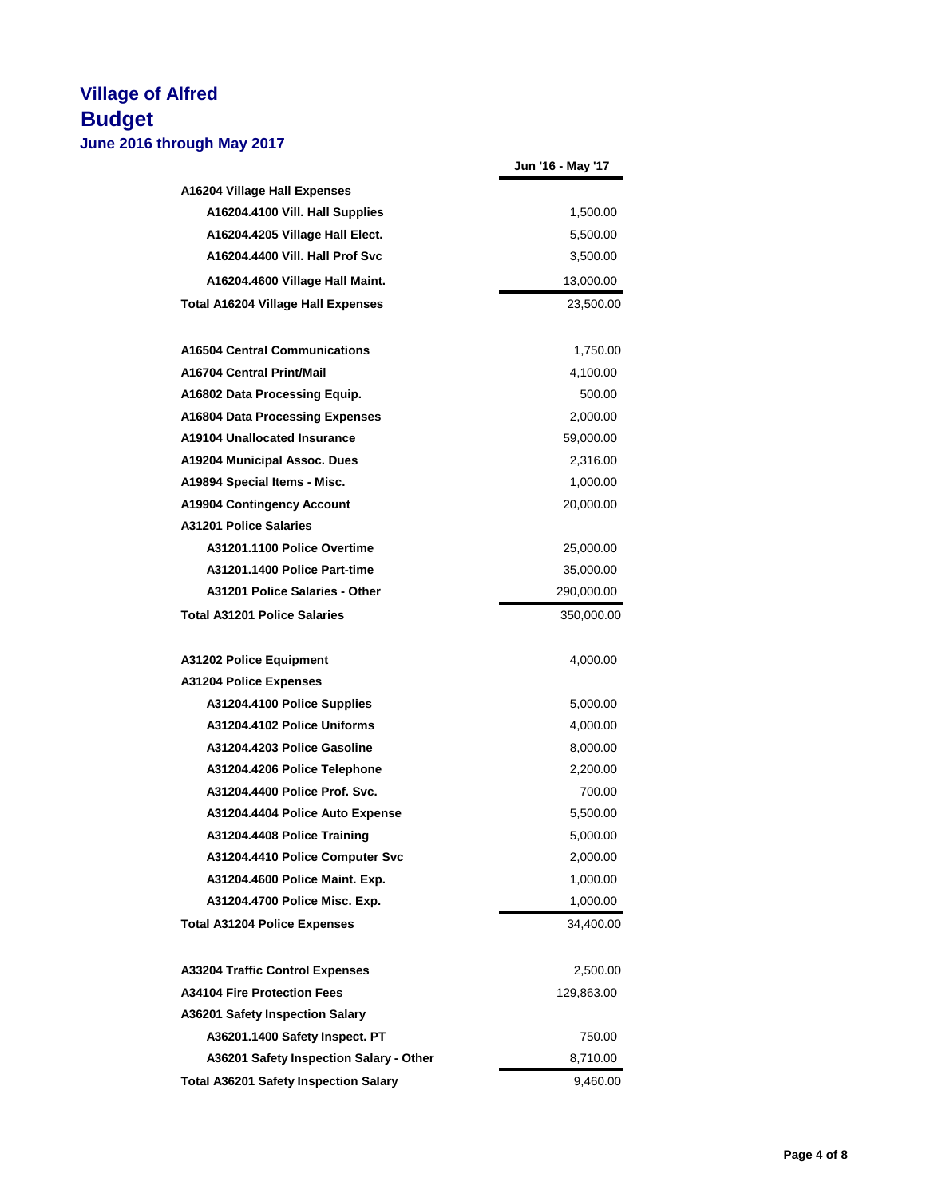|                                              | Jun '16 - May '17 |
|----------------------------------------------|-------------------|
| A16204 Village Hall Expenses                 |                   |
| A16204.4100 Vill. Hall Supplies              | 1,500.00          |
| A16204.4205 Village Hall Elect.              | 5,500.00          |
| A16204.4400 Vill. Hall Prof Svc              | 3,500.00          |
| A16204.4600 Village Hall Maint.              | 13,000.00         |
| <b>Total A16204 Village Hall Expenses</b>    | 23,500.00         |
| <b>A16504 Central Communications</b>         | 1,750.00          |
| A16704 Central Print/Mail                    | 4,100.00          |
| A16802 Data Processing Equip.                | 500.00            |
| A16804 Data Processing Expenses              | 2,000.00          |
| A19104 Unallocated Insurance                 | 59,000.00         |
| A19204 Municipal Assoc. Dues                 | 2,316.00          |
| A19894 Special Items - Misc.                 | 1,000.00          |
| <b>A19904 Contingency Account</b>            | 20,000.00         |
| <b>A31201 Police Salaries</b>                |                   |
| A31201.1100 Police Overtime                  | 25,000.00         |
| A31201.1400 Police Part-time                 | 35,000.00         |
| A31201 Police Salaries - Other               | 290,000.00        |
| <b>Total A31201 Police Salaries</b>          | 350,000.00        |
| <b>A31202 Police Equipment</b>               | 4,000.00          |
| <b>A31204 Police Expenses</b>                |                   |
| A31204.4100 Police Supplies                  | 5,000.00          |
| A31204.4102 Police Uniforms                  | 4,000.00          |
| A31204.4203 Police Gasoline                  | 8,000.00          |
| A31204.4206 Police Telephone                 | 2,200.00          |
| A31204.4400 Police Prof. Svc.                | 700.00            |
| A31204.4404 Police Auto Expense              | 5,500.00          |
| A31204.4408 Police Training                  | 5,000.00          |
| A31204.4410 Police Computer Svc              | 2,000.00          |
| A31204.4600 Police Maint. Exp.               | 1,000.00          |
| A31204.4700 Police Misc. Exp.                | 1,000.00          |
| <b>Total A31204 Police Expenses</b>          | 34,400.00         |
| <b>A33204 Traffic Control Expenses</b>       | 2,500.00          |
| <b>A34104 Fire Protection Fees</b>           | 129,863.00        |
| A36201 Safety Inspection Salary              |                   |
| A36201.1400 Safety Inspect. PT               | 750.00            |
| A36201 Safety Inspection Salary - Other      | 8,710.00          |
| <b>Total A36201 Safety Inspection Salary</b> | 9,460.00          |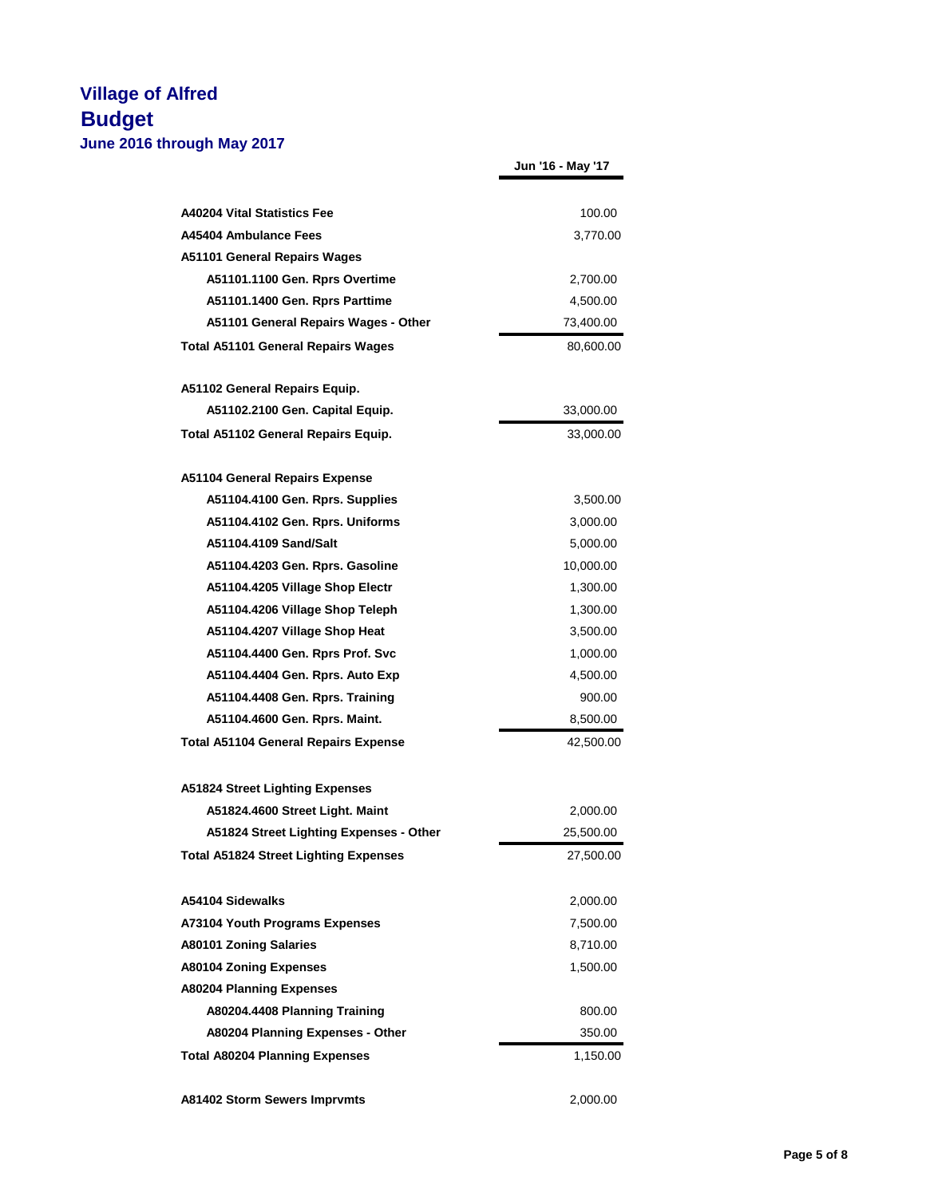|                                              | Jun '16 - May '17 |
|----------------------------------------------|-------------------|
| <b>A40204 Vital Statistics Fee</b>           | 100.00            |
| A45404 Ambulance Fees                        | 3,770.00          |
| A51101 General Repairs Wages                 |                   |
| A51101.1100 Gen. Rprs Overtime               | 2,700.00          |
| A51101.1400 Gen. Rprs Parttime               | 4,500.00          |
| A51101 General Repairs Wages - Other         | 73,400.00         |
| <b>Total A51101 General Repairs Wages</b>    | 80,600.00         |
| A51102 General Repairs Equip.                |                   |
| A51102.2100 Gen. Capital Equip.              | 33,000.00         |
| Total A51102 General Repairs Equip.          | 33,000.00         |
| <b>A51104 General Repairs Expense</b>        |                   |
| A51104.4100 Gen. Rprs. Supplies              | 3,500.00          |
| A51104.4102 Gen. Rprs. Uniforms              | 3,000.00          |
| A51104.4109 Sand/Salt                        | 5,000.00          |
| A51104.4203 Gen. Rprs. Gasoline              | 10,000.00         |
| A51104.4205 Village Shop Electr              | 1,300.00          |
| A51104.4206 Village Shop Teleph              | 1,300.00          |
| A51104.4207 Village Shop Heat                | 3,500.00          |
| A51104.4400 Gen. Rprs Prof. Svc              | 1,000.00          |
| A51104.4404 Gen. Rprs. Auto Exp              | 4,500.00          |
| A51104.4408 Gen. Rprs. Training              | 900.00            |
| A51104.4600 Gen. Rprs. Maint.                | 8,500.00          |
| <b>Total A51104 General Repairs Expense</b>  | 42,500.00         |
| <b>A51824 Street Lighting Expenses</b>       |                   |
| A51824.4600 Street Light. Maint              | 2,000.00          |
| A51824 Street Lighting Expenses - Other      | 25,500.00         |
| <b>Total A51824 Street Lighting Expenses</b> | 27,500.00         |
| A54104 Sidewalks                             | 2,000.00          |
| <b>A73104 Youth Programs Expenses</b>        | 7,500.00          |
| <b>A80101 Zoning Salaries</b>                | 8,710.00          |
| <b>A80104 Zoning Expenses</b>                | 1,500.00          |
| <b>A80204 Planning Expenses</b>              |                   |
| A80204.4408 Planning Training                | 800.00            |
| A80204 Planning Expenses - Other             | 350.00            |
| <b>Total A80204 Planning Expenses</b>        | 1,150.00          |

**A81402 Storm Sewers Imprvmts** 2,000.00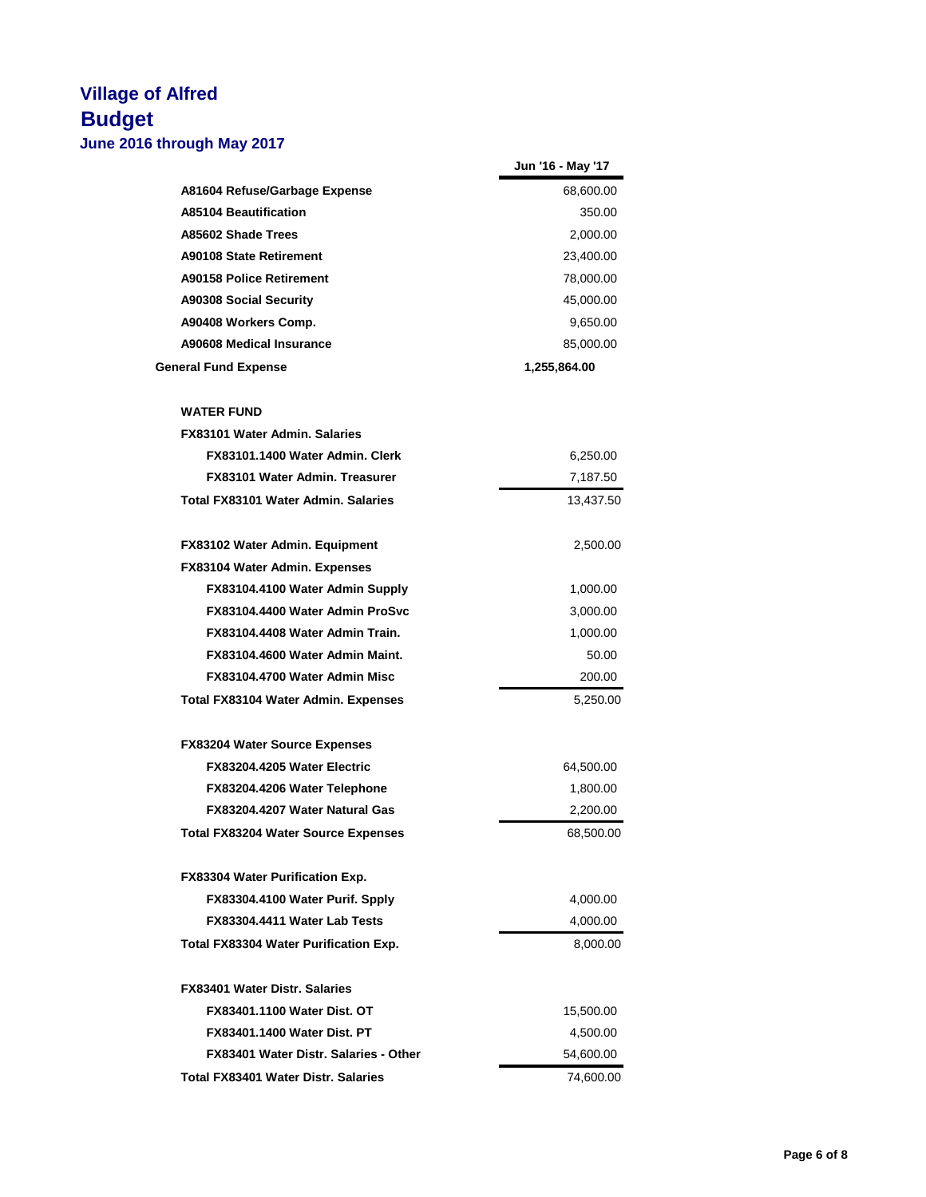|                                       | Jun '16 - May '17 |
|---------------------------------------|-------------------|
| A81604 Refuse/Garbage Expense         | 68,600.00         |
| <b>A85104 Beautification</b>          | 350.00            |
| A85602 Shade Trees                    | 2,000.00          |
| <b>A90108 State Retirement</b>        | 23,400.00         |
| <b>A90158 Police Retirement</b>       | 78,000.00         |
| <b>A90308 Social Security</b>         | 45,000.00         |
| A90408 Workers Comp.                  | 9,650.00          |
| A90608 Medical Insurance              | 85,000.00         |
| <b>General Fund Expense</b>           | 1,255,864.00      |
| <b>WATER FUND</b>                     |                   |
| <b>FX83101 Water Admin, Salaries</b>  |                   |
| FX83101.1400 Water Admin, Clerk       | 6,250.00          |
| FX83101 Water Admin, Treasurer        | 7,187.50          |
| Total FX83101 Water Admin, Salaries   | 13,437.50         |
| FX83102 Water Admin. Equipment        | 2,500.00          |
| FX83104 Water Admin. Expenses         |                   |
| FX83104.4100 Water Admin Supply       | 1,000.00          |
| FX83104.4400 Water Admin ProSvc       | 3,000.00          |
| FX83104.4408 Water Admin Train.       | 1,000.00          |
| FX83104.4600 Water Admin Maint.       | 50.00             |
| FX83104.4700 Water Admin Misc         | 200.00            |
|                                       |                   |
| Total FX83104 Water Admin. Expenses   | 5,250.00          |
| <b>FX83204 Water Source Expenses</b>  |                   |
| FX83204.4205 Water Electric           | 64,500.00         |
| FX83204.4206 Water Telephone          | 1,800.00          |
| FX83204.4207 Water Natural Gas        | 2,200.00          |
| Total FX83204 Water Source Expenses   | 68,500.00         |
| FX83304 Water Purification Exp.       |                   |
| FX83304.4100 Water Purif. Spply       | 4,000.00          |
| FX83304.4411 Water Lab Tests          | 4,000.00          |
| Total FX83304 Water Purification Exp. | 8,000.00          |
| <b>FX83401 Water Distr. Salaries</b>  |                   |
| <b>FX83401.1100 Water Dist. OT</b>    | 15,500.00         |
| <b>FX83401.1400 Water Dist. PT</b>    | 4,500.00          |
| FX83401 Water Distr. Salaries - Other | 54,600.00         |
| Total FX83401 Water Distr. Salaries   | 74,600.00         |
|                                       |                   |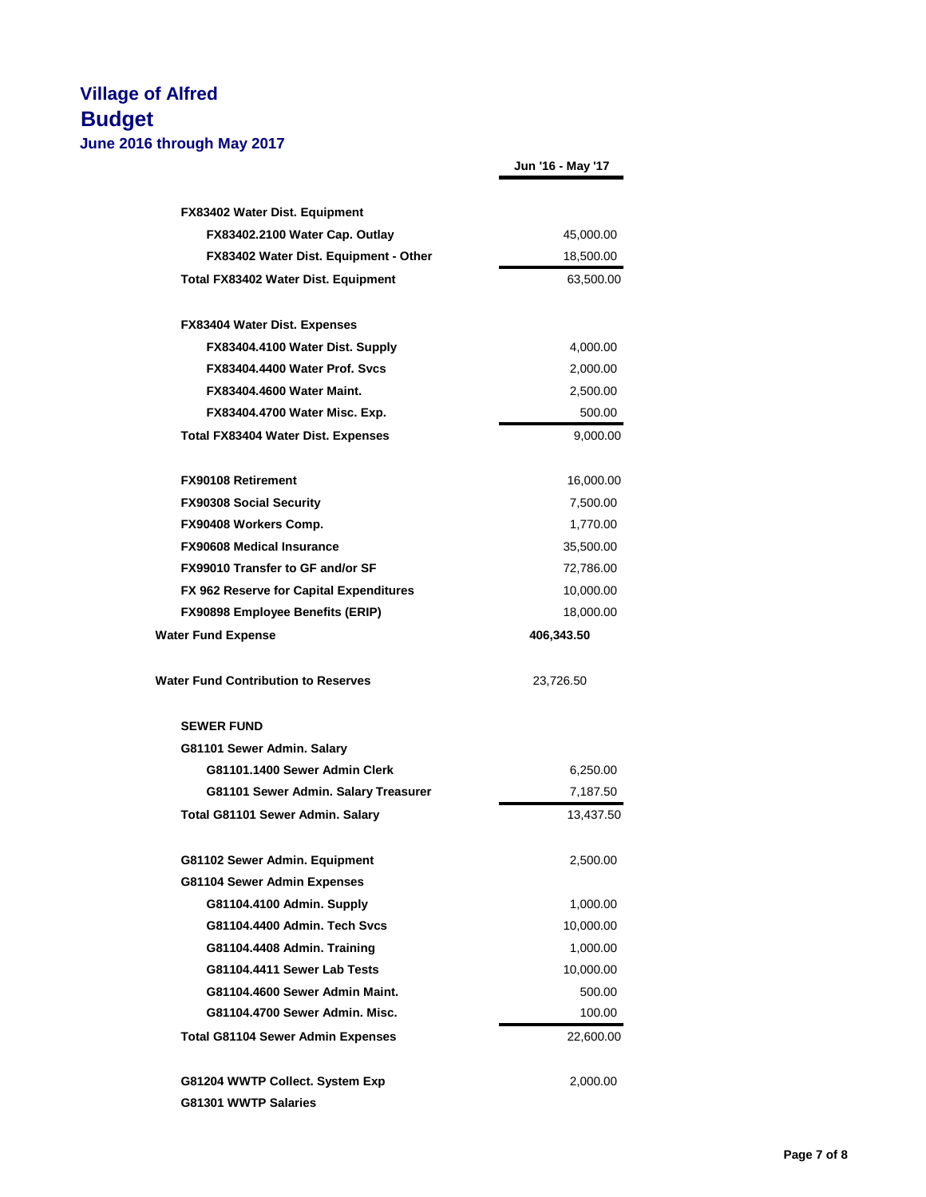|                                                                        | Jun '16 - May '17     |
|------------------------------------------------------------------------|-----------------------|
|                                                                        |                       |
| <b>FX83402 Water Dist. Equipment</b><br>FX83402.2100 Water Cap. Outlay | 45,000.00             |
| FX83402 Water Dist. Equipment - Other                                  | 18,500.00             |
| Total FX83402 Water Dist. Equipment                                    | 63,500.00             |
|                                                                        |                       |
| <b>FX83404 Water Dist. Expenses</b>                                    |                       |
| FX83404.4100 Water Dist. Supply                                        | 4,000.00              |
| FX83404.4400 Water Prof. Sycs                                          | 2,000.00              |
| <b>FX83404.4600 Water Maint.</b>                                       | 2,500.00              |
| FX83404.4700 Water Misc. Exp.                                          | 500.00                |
| <b>Total FX83404 Water Dist. Expenses</b>                              | 9,000.00              |
| <b>FX90108 Retirement</b>                                              | 16,000.00             |
| <b>FX90308 Social Security</b>                                         | 7,500.00              |
| FX90408 Workers Comp.                                                  | 1,770.00              |
| <b>FX90608 Medical Insurance</b>                                       | 35,500.00             |
| FX99010 Transfer to GF and/or SF                                       | 72,786.00             |
| FX 962 Reserve for Capital Expenditures                                | 10,000.00             |
| <b>FX90898 Employee Benefits (ERIP)</b>                                | 18,000.00             |
| <b>Water Fund Expense</b>                                              | 406,343.50            |
| <b>Water Fund Contribution to Reserves</b>                             | 23,726.50             |
| <b>SEWER FUND</b>                                                      |                       |
| G81101 Sewer Admin. Salary                                             |                       |
| G81101.1400 Sewer Admin Clerk                                          | 6,250.00              |
| G81101 Sewer Admin. Salary Treasurer                                   | 7,187.50              |
| Total G81101 Sewer Admin. Salary                                       | 13,437.50             |
| G81102 Sewer Admin. Equipment                                          | 2,500.00              |
| G81104 Sewer Admin Expenses                                            |                       |
| G81104.4100 Admin. Supply                                              | 1,000.00              |
| G81104.4400 Admin. Tech Svcs                                           | 10,000.00             |
| G81104.4408 Admin. Training                                            | 1,000.00              |
| G81104.4411 Sewer Lab Tests                                            | 10,000.00             |
|                                                                        | 500.00                |
| G81104.4600 Sewer Admin Maint.                                         |                       |
| G81104.4700 Sewer Admin. Misc.                                         | 100.00                |
| <b>Total G81104 Sewer Admin Expenses</b>                               |                       |
| G81204 WWTP Collect. System Exp                                        | 22,600.00<br>2,000.00 |